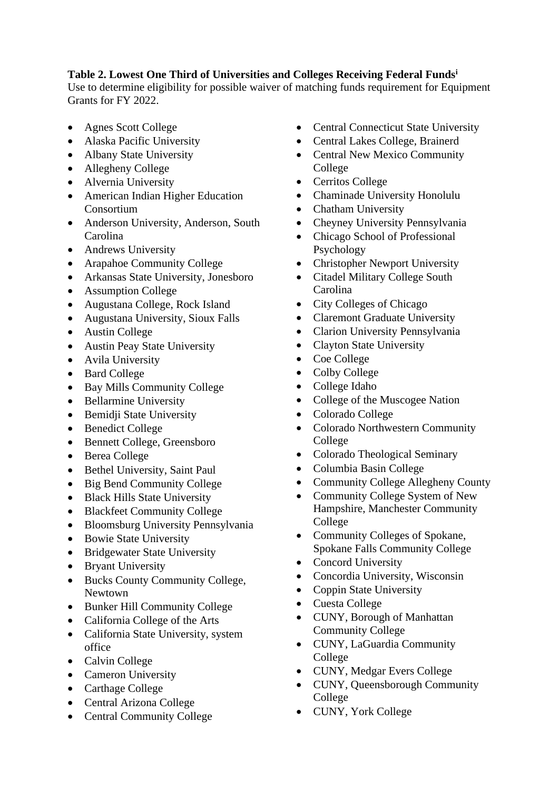## **Table 2. Lowest One Third of Universities and Colleges Receiving Federal Funds<sup>i</sup>**

Use to determine eligibility for possible waiver of matching funds requirement for Equipment Grants for FY 2022.

- Agnes Scott College
- Alaska Pacific University
- Albany State University
- Allegheny College
- Alvernia University
- American Indian Higher Education Consortium
- Anderson University, Anderson, South Carolina
- Andrews University
- Arapahoe Community College
- Arkansas State University, Jonesboro
- Assumption College
- Augustana College, Rock Island
- Augustana University, Sioux Falls
- Austin College
- Austin Peay State University
- Avila University
- Bard College
- Bay Mills Community College
- Bellarmine University
- Bemidji State University
- Benedict College
- Bennett College, Greensboro
- Berea College
- Bethel University, Saint Paul
- Big Bend Community College
- Black Hills State University
- Blackfeet Community College
- Bloomsburg University Pennsylvania
- Bowie State University
- Bridgewater State University
- Bryant University
- Bucks County Community College, Newtown
- Bunker Hill Community College
- California College of the Arts
- California State University, system office
- Calvin College
- Cameron University
- Carthage College
- Central Arizona College
- Central Community College
- Central Connecticut State University
- Central Lakes College, Brainerd
- Central New Mexico Community College
- Cerritos College
- Chaminade University Honolulu
- Chatham University
- Cheyney University Pennsylvania
- Chicago School of Professional Psychology
- Christopher Newport University
- Citadel Military College South Carolina
- City Colleges of Chicago
- Claremont Graduate University
- Clarion University Pennsylvania
- Clayton State University
- Coe College
- Colby College
- College Idaho
- College of the Muscogee Nation
- Colorado College
- Colorado Northwestern Community College
- Colorado Theological Seminary
- Columbia Basin College
- Community College Allegheny County
- Community College System of New Hampshire, Manchester Community College
- Community Colleges of Spokane, Spokane Falls Community College
- Concord University
- Concordia University, Wisconsin
- Coppin State University
- Cuesta College
- CUNY, Borough of Manhattan Community College
- CUNY, LaGuardia Community College
- CUNY, Medgar Evers College
- CUNY, Queensborough Community College
- CUNY, York College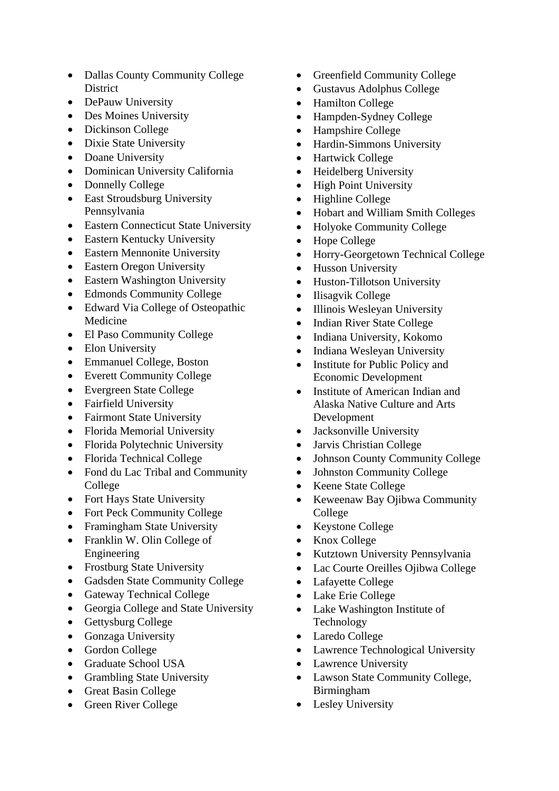- Dallas County Community College District
- DePauw University
- Des Moines University
- Dickinson College
- Dixie State University
- Doane University
- Dominican University California
- Donnelly College
- East Stroudsburg University Pennsylvania
- Eastern Connecticut State University
- Eastern Kentucky University
- Eastern Mennonite University
- Eastern Oregon University
- Eastern Washington University
- Edmonds Community College
- Edward Via College of Osteopathic Medicine
- El Paso Community College
- Elon University
- Emmanuel College, Boston
- Everett Community College
- Evergreen State College
- Fairfield University
- Fairmont State University
- Florida Memorial University
- Florida Polytechnic University
- Florida Technical College
- Fond du Lac Tribal and Community College
- Fort Hays State University
- Fort Peck Community College
- Framingham State University
- Franklin W. Olin College of Engineering
- Frostburg State University
- Gadsden State Community College
- Gateway Technical College
- Georgia College and State University
- Gettysburg College
- Gonzaga University
- Gordon College
- Graduate School USA
- Grambling State University
- Great Basin College
- Green River College
- Greenfield Community College
- Gustavus Adolphus College
- Hamilton College
- Hampden-Sydney College
- Hampshire College
- Hardin-Simmons University
- Hartwick College
- Heidelberg University
- High Point University
- Highline College
- Hobart and William Smith Colleges
- Holyoke Community College
- Hope College
- Horry-Georgetown Technical College
- Husson University
- Huston-Tillotson University
- Ilisagvik College
- Illinois Wesleyan University
- Indian River State College
- Indiana University, Kokomo
- Indiana Wesleyan University
- Institute for Public Policy and Economic Development
- Institute of American Indian and Alaska Native Culture and Arts Development
- Jacksonville University
- Jarvis Christian College
- Johnson County Community College
- Johnston Community College
- Keene State College
- Keweenaw Bay Ojibwa Community College
- Keystone College
- Knox College
- Kutztown University Pennsylvania
- Lac Courte Oreilles Ojibwa College
- Lafayette College
- Lake Erie College
- Lake Washington Institute of Technology
- Laredo College
- Lawrence Technological University
- Lawrence University
- Lawson State Community College, Birmingham
- Lesley University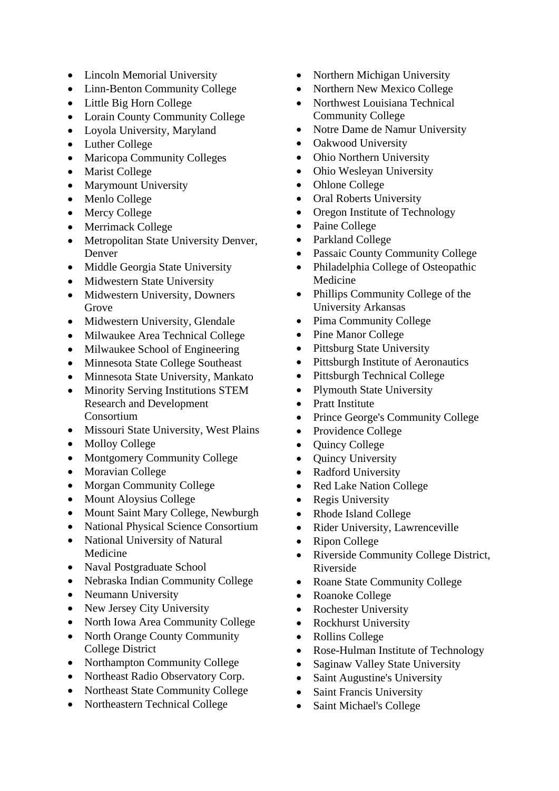- Lincoln Memorial University
- Linn-Benton Community College
- Little Big Horn College
- Lorain County Community College
- Loyola University, Maryland
- Luther College
- Maricopa Community Colleges
- Marist College
- Marymount University
- Menlo College
- Mercy College
- Merrimack College
- Metropolitan State University Denver, Denver
- Middle Georgia State University
- Midwestern State University
- Midwestern University, Downers Grove
- Midwestern University, Glendale
- Milwaukee Area Technical College
- Milwaukee School of Engineering
- Minnesota State College Southeast
- Minnesota State University, Mankato
- Minority Serving Institutions STEM Research and Development Consortium
- Missouri State University, West Plains
- Molloy College
- Montgomery Community College
- Moravian College
- Morgan Community College
- Mount Aloysius College
- Mount Saint Mary College, Newburgh
- National Physical Science Consortium
- National University of Natural Medicine
- Naval Postgraduate School
- Nebraska Indian Community College
- Neumann University
- New Jersey City University
- North Iowa Area Community College
- North Orange County Community College District
- Northampton Community College
- Northeast Radio Observatory Corp.
- Northeast State Community College
- Northeastern Technical College
- Northern Michigan University
- Northern New Mexico College
- Northwest Louisiana Technical Community College
- Notre Dame de Namur University
- Oakwood University
- Ohio Northern University
- Ohio Wesleyan University
- Ohlone College
- Oral Roberts University
- Oregon Institute of Technology
- Paine College
- Parkland College
- Passaic County Community College
- Philadelphia College of Osteopathic Medicine
- Phillips Community College of the University Arkansas
- Pima Community College
- Pine Manor College
- Pittsburg State University
- Pittsburgh Institute of Aeronautics
- Pittsburgh Technical College
- Plymouth State University
- Pratt Institute
- Prince George's Community College
- Providence College
- Quincy College
- Quincy University
- Radford University
- Red Lake Nation College
- Regis University
- Rhode Island College
- Rider University, Lawrenceville
- Ripon College
- Riverside Community College District, Riverside
- Roane State Community College
- Roanoke College
- Rochester University
- Rockhurst University
- Rollins College
- Rose-Hulman Institute of Technology
- Saginaw Valley State University
- Saint Augustine's University
- Saint Francis University
- Saint Michael's College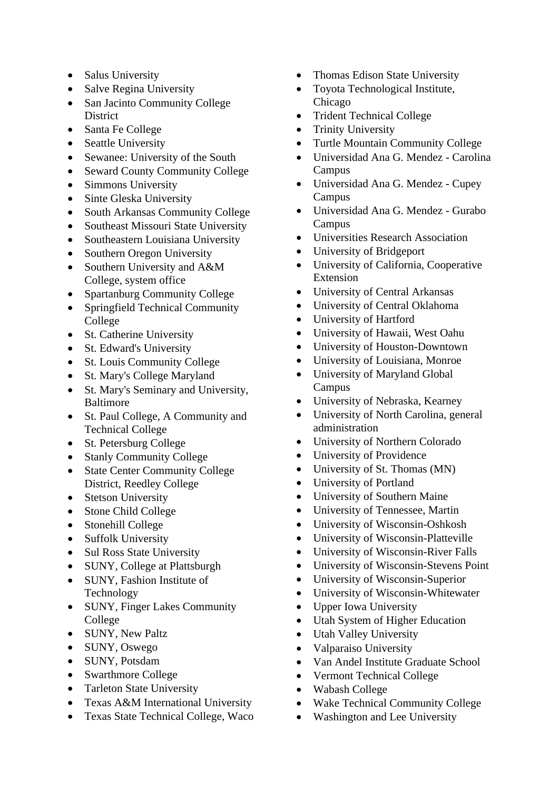- Salus University
- Salve Regina University
- San Jacinto Community College **District**
- Santa Fe College
- Seattle University
- Sewanee: University of the South
- Seward County Community College
- Simmons University
- Sinte Gleska University
- South Arkansas Community College
- Southeast Missouri State University
- Southeastern Louisiana University
- Southern Oregon University
- Southern University and A&M College, system office
- Spartanburg Community College
- Springfield Technical Community College
- St. Catherine University
- St. Edward's University
- St. Louis Community College
- St. Mary's College Maryland
- St. Mary's Seminary and University, Baltimore
- St. Paul College, A Community and Technical College
- St. Petersburg College
- Stanly Community College
- State Center Community College District, Reedley College
- Stetson University
- Stone Child College
- Stonehill College
- Suffolk University
- Sul Ross State University
- SUNY, College at Plattsburgh
- SUNY, Fashion Institute of Technology
- SUNY, Finger Lakes Community College
- SUNY, New Paltz
- SUNY, Oswego
- SUNY, Potsdam
- Swarthmore College
- Tarleton State University
- Texas A&M International University
- Texas State Technical College, Waco
- Thomas Edison State University
- Toyota Technological Institute, Chicago
- Trident Technical College
- Trinity University
- Turtle Mountain Community College
- Universidad Ana G. Mendez Carolina Campus
- Universidad Ana G. Mendez Cupey Campus
- Universidad Ana G. Mendez Gurabo Campus
- Universities Research Association
- University of Bridgeport
- University of California, Cooperative Extension
- University of Central Arkansas
- University of Central Oklahoma
- University of Hartford
- University of Hawaii, West Oahu
- University of Houston-Downtown
- University of Louisiana, Monroe
- University of Maryland Global Campus
- University of Nebraska, Kearney
- University of North Carolina, general administration
- University of Northern Colorado
- University of Providence
- University of St. Thomas (MN)
- University of Portland
- University of Southern Maine
- University of Tennessee, Martin
- University of Wisconsin-Oshkosh
- University of Wisconsin-Platteville
- University of Wisconsin-River Falls
- University of Wisconsin-Stevens Point
- University of Wisconsin-Superior
- University of Wisconsin-Whitewater
- Upper Iowa University
- Utah System of Higher Education
- Utah Valley University
- Valparaiso University
- Van Andel Institute Graduate School
- Vermont Technical College
- Wabash College
- Wake Technical Community College
- Washington and Lee University